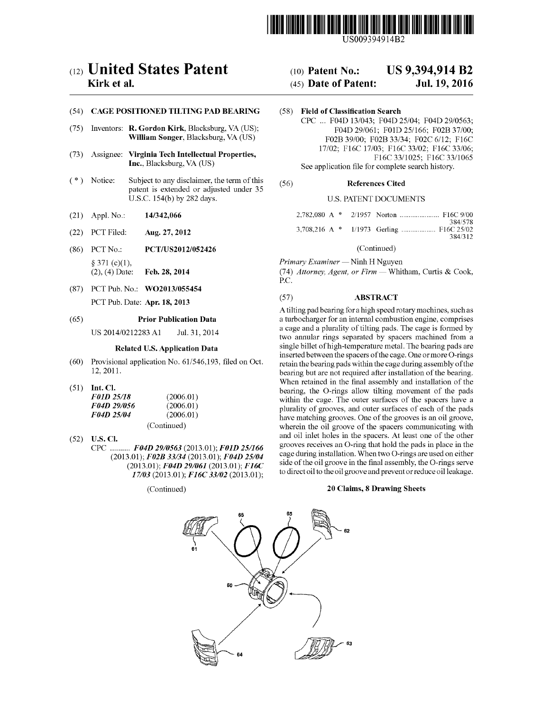

# $(12)$  United States Patent  $(10)$  Patent No.: US 9,394,914 B2

### (54) CAGE POSITIONED TILTING PAD BEARING (58) Field of Classification Search

- 
- 
- (\*) Notice: Subject to any disclaimer, the term of this  $(56)$  References Cited patent is extended or adjusted under 35 U.S.C. 154(b) by 282 days. U.S. PATENT DOCUMENTS
- (21) Appl. No.: 14/342,066
- (22) PCT Filed: Aug. 27, 2012
- (86) PCT No.: (2), (4) Date: § 371 (c)(1), PCT/US2012/052426 Feb. 28, 2014
- (87) PCT Pub. No.: WO2013/055454 PCT Pub. Date: **Apr. 18, 2013**

### (65) Prior Publication Data

US 2014/0212283 Al Jul. 31, 2014

# **Delated II.S. Application Data**

- (60) Provisional application No. 61/546,193, filed on Oct. 12, 2011.
- $(51)$  Int. CI.

| <i>F01D 25/18</i>  | (2006.01)   |
|--------------------|-------------|
| <i>F04D 29/056</i> | (2006.01)   |
| <i>F04D 25/04</i>  | (2006.01)   |
|                    | (Continued) |

 $(52)$  **U.S. Cl.** ......... FO4D  $(2013.01);$   $F02B$  33/34  $(2013.01);$   $F04D$  25/04  $(2013.01)$ ;  $F04D29/061$  (2013.01);<br> $(2013.01)$ ;  $F04D29/061$  (2013.01); 27/03 (2012 01), E16C 22/03 (2012 01);<br>37/03 (2012 01), E16C 22/03 (2012 01); (*D* 29/0563 (2013.01); F01D F<sub>o</sub><br>Foad 25/04

(Continued)

## Kirk et al. **Example 2016** (45) Date of Patent: Jul. 19, 2016

CPC ... FO4D 13/043; FO4D 25/04; F04D 29/0563; (75) Inventors: R. Gordon Kirk, Blacksburg, VA (US); F04D 29/061; F01D 25/166; F02B 37/00; William Songer, Blacksburg, VA (US)  $F02B$  39/00;  $F02B$  33/34;  $F02C$  6/12;  $F16C$ 17/02; F16C 17/03; F16C 33/02; F16C 33/06;<br>F16C 33/1025; F16C 33/1065<br>F16C 33/1025; F16C 33/1065 Inc., Blacksburg, VA (US) See application file for complete search history.

|  | 384/578<br>384/312 |
|--|--------------------|

### (Continued)

Primary Examiner — Ninh H Nguyen

PC. Pri*mary Examiner —* Ninh H Nguyen<br>(74) *Attorney, Agent, or Firm —* Whitham, Curtis & Cook.

### $(57)$ ABSTRACT

within the cage. The outer surfaces of the spacers have a two annular rings separated by spacers machined from a retain the bearing pads within the cage during assembly of the bearing but are not required after installation of the bearing. bearing, the O-rings allow tilting movement of the pads plurality of grooves, and outer surfaces of each of the pads plurality of grooves, and outer surfaces of each of the pads<br>have matching grooves. One of the grooves is an oil groove. wherein the oil groove of the spacers communicating with to direct oil to the oil groove and prevent or reduce oil leakage. re an<br>A tilting pad bearing for a high speed rotary machines, such as When retained in the final assembly and installation of the grooves receives an O-ring that hold the pads in place in the cage during installation. When two O-rings are used on either a cage and a plurality of tilting pads. The cage is formed by inserted between the spacers of the cage. One or more O-rings and oil inlet holes in the spacers. At least one of the other a turbocharger a for an internal combustion engine, comprises side of the oil groove in the final assembly, the O-rings serve single billet of high-temperature metal. The bearing pads are

## 20 Claims, 8 Drawing Sheets

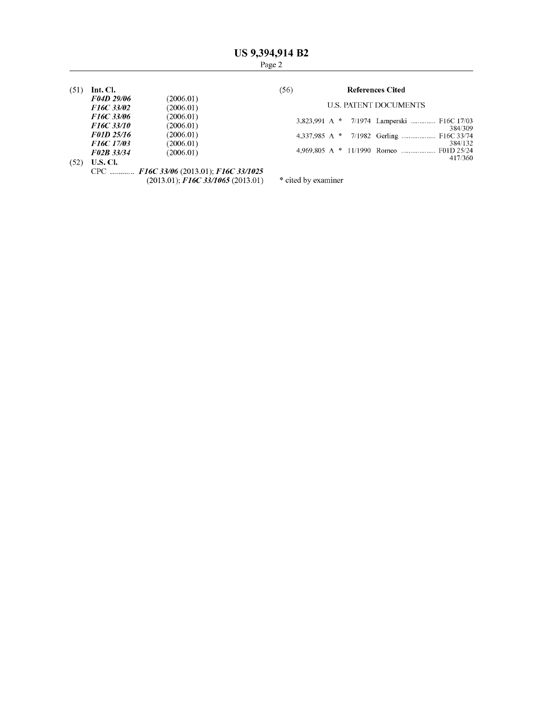$(51)$  Int. Cl.

| F04D 29/06        | (2006.01) |
|-------------------|-----------|
| F16C 33/02        | (2006.01) |
| F16C 33/06        | (2006.01) |
| <b>F16C 33/10</b> | (2006.01) |
| <b>F01D 25/16</b> | (2006.01) |
| F16C 17/03        | (2006.01) |
| F02B 33/34        | (2006.01) |
|                   |           |

# $(56)$

# **References Cited**

# **U.S. PATENT DOCUMENTS**

|  | 3,823,991 A * 7/1974 Lamperski  F16C 17/03 | 384/309            |
|--|--------------------------------------------|--------------------|
|  | 4,337,985 A * 7/1982 Gerling  F16C 33/74   |                    |
|  |                                            | 384/132<br>417/360 |

 $(52)$  **U.S. Cl.** 

CPC ............ F16C 33/06 (2013.01); F16C 33/1025<br>(2013.01); F16C 33/1065 (2013.01)

\* cited by examiner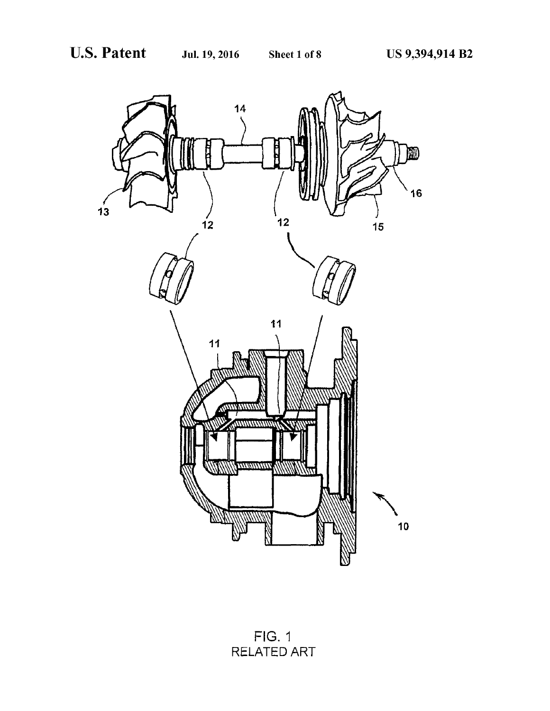

**FIG. 1** RELATED ART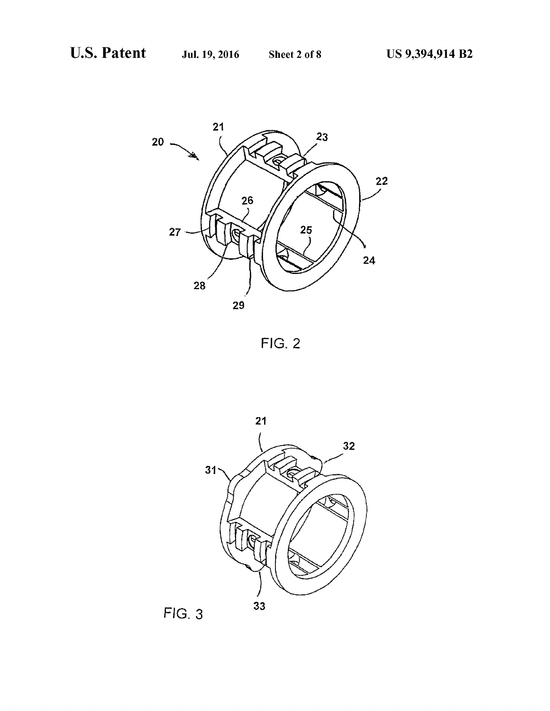



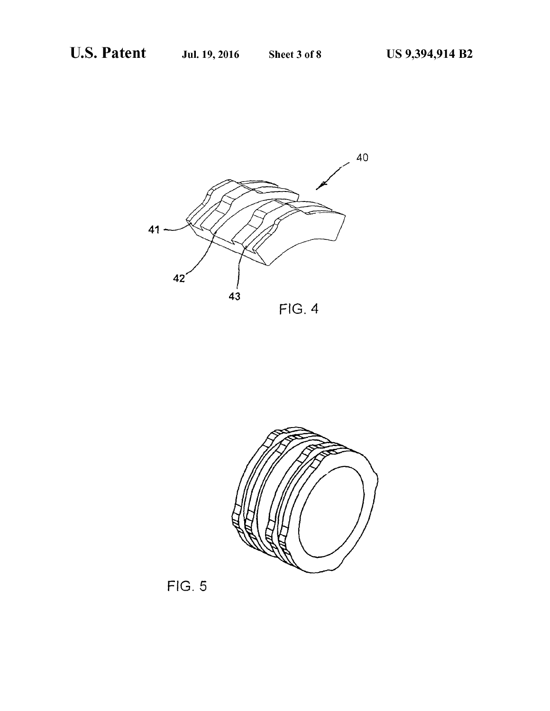



FIG. 5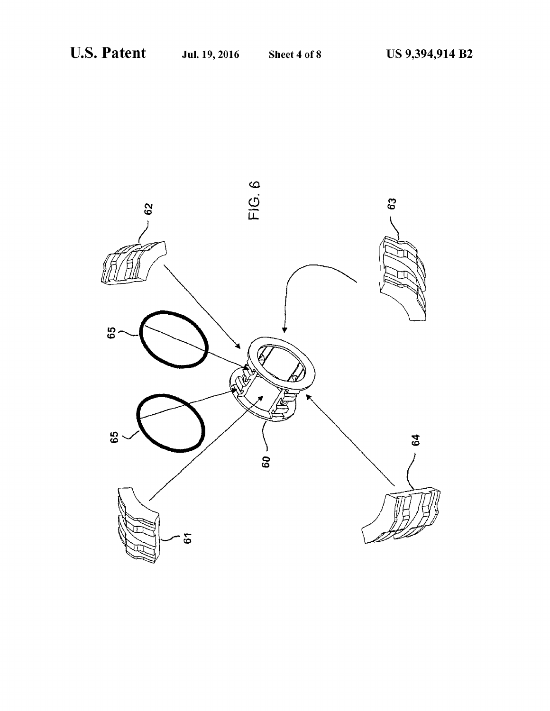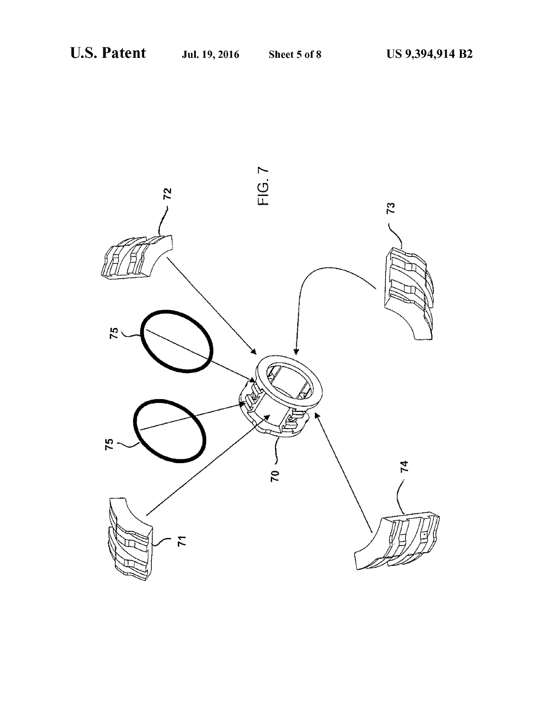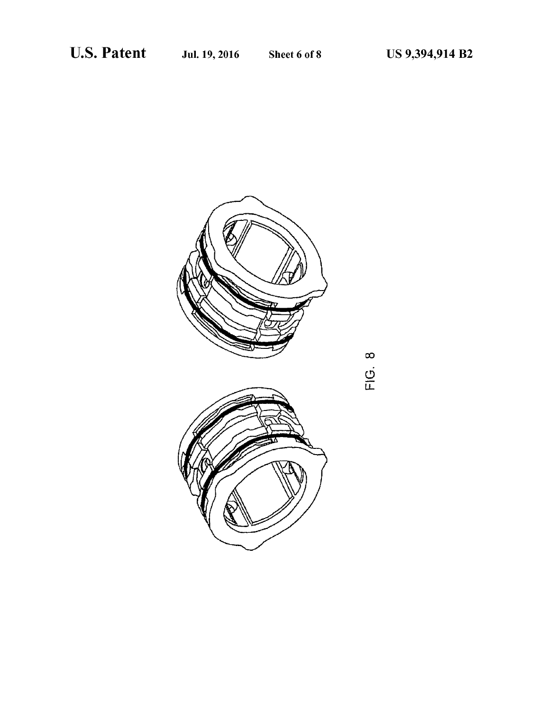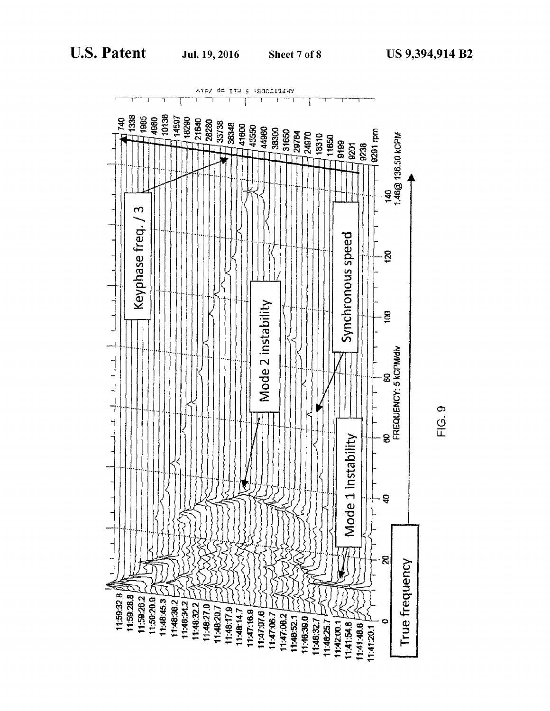

FIG. 9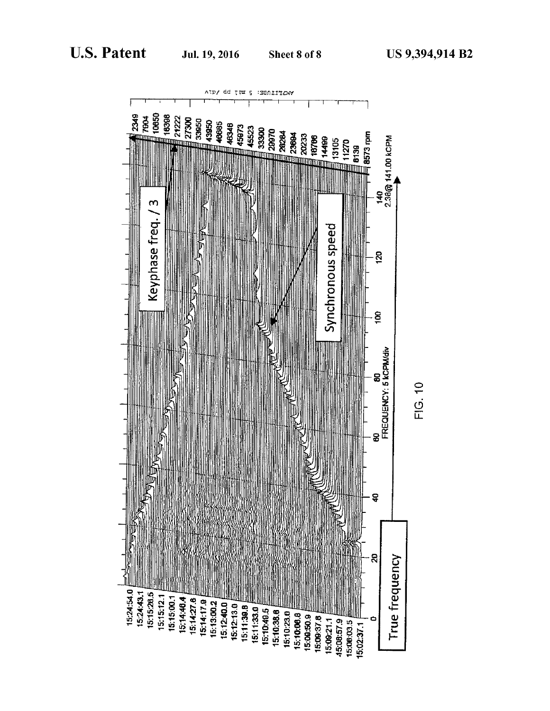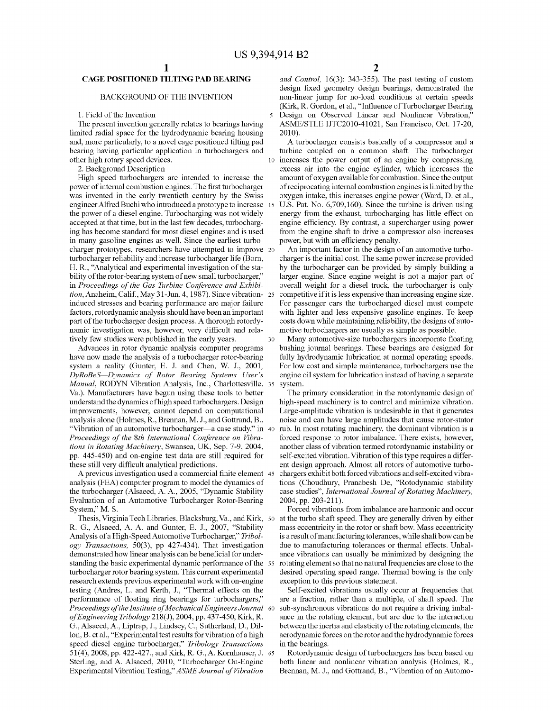30

## CAGE POSITIONED TILTING PAD BEARING

### BACKGROUND OF THE INVENTION

1. Field of the Invention

The present invention generally relates to bearings having limited radial space for the hydrodynamic bearing housing and, more particularly, to a novel cage positioned tilting pad bearing having particular application in turbochargers and other high rotary speed devices.

2. Background Description

High speed turbochargers are intended to increase the power of internal combustion engines. The first turbocharger was invented in the early twentieth century by the Swiss engineer Alfred Buchi who introduced a prototype to increase 15 the power of a diesel engine. Turbocharging was not widely accepted at that time, but in the last few decades, turbocharging has become standard for most diesel engines and is used in many gasoline engines as well. Since the earliest turbocharger prototypes, researchers have attempted to improve 20 turbocharger reliability and increase turbocharger life (Born, H. R., "Analytical and experimental investigation of the stability of the rotor-bearing system of new small turbocharger," in Proceedings of the Gas Turbine Conference and Exhibition, Anaheim, Calif., May 31-Jun. 4, 1987). Since vibration-25 induced stresses and bearing performance are major failure factors, rotordynamic analysis should have been an important part of the turbocharger design process. A thorough rotordynamic investigation was, however, very difficult and relatively few studies were published in the early years.

Advances in rotor dynamic analysis computer programs have now made the analysis of a turbocharger rotor-bearing system a reality (Gunter, E. J. and Chen, W. J., 2001, DyRoBeS—Dynamics of Rotor Bearing Systems User's DyRobes—Dynamics of Rotor Bearing Systems Oser's<br>Manual, RODYN Vibration Analysis, Inc., Charlottesville, 35 Va.). Manufacturers have begun using these tools to better understand the dynamics ofhigh speed turbochargers. Design improvements, however, cannot depend on computational analysis alone (Holmes, R., Brennan, M. J., and Gottrand, B., "Vibration of an automotive turbocharger—acase study," in 40 Proceedings of the 8th International Conference on Vibrations in Rotating Machinery, Swansea, UK, Sep. 7-9, 2004, pp. 445-450) and on-engine test data are still required for these still very difficult analytical predictions.

se sun very unneun analytical predictions.<br>A previous investigation used a commercial finite element 45 analysis (FEA) computer program to model the dynamics of the turbocharger (Alsaeed, A. A., 2005, "Dynamic Stability Evaluation of an Automotive Turbocharger Rotor-Bearing System," M. 8.

Thesis, Virginia Tech Libraries, Blacksburg, Va., and Kirk, 50 R. G., Alsaeed, A. A. and Gunter, E. J., 2007, "Stability Analysis of a High-Speed Automotive Turbocharger," Tribology Transactions, 50(3), pp 427-434). That investigation demonstrated how linear analysis can be beneficial for underdemonstrated now linear analysis can be beneficial for under-<br>standing the basic experimental dynamic performance of the 55 turbocharger rotor bearing system. This current experimental research extends previous experimental work with on-engine testing (Andres, L. and Kerth, J., "Thermal effects on the performance of floating ring bearings for turbochargers," periormance of hoating ring bearings for turbochargers,<br>Proceedings of the Institute of Mechanical Engineers Journal 60 ofEngineering Tribology 218(J), 2004, pp. 437-450, Kirk, R. G., Alsaeed, A., Liptrap, J., Lindsey, C., Sutherland, D., Dillon, B. et al., "Experimental test results for vibration of a high speed diesel engine turbocharger," Tribology Transactions 51(4), 2008, pp. 422-427., and Kirk, R. G., A. Kornhauser, J. 65 Sterling, and A. Alsaeed, 2010, "Turbocharger On-Engine Experimental Vibration Testing," ASME Journal of Vibration

and Control, 16(3): 343-355). The past testing of custom design fixed geometry design bearings, demonstrated the non-linear jump for no-load conditions at certain speeds (Kirk, R. Gordon, et al., "Influence of Turbocharger Bearing Design on Observed Linear and Nonlinear Vibration," ASME/STLE JJTC2010-41021, San Francisco, Oct. 17-20, 2010).

A turbocharger consists basically of <sup>a</sup> compressor and <sup>a</sup> turbine coupled on <sup>a</sup> common shaft. The turbocharger increases the power output of an engine by compressing excess air into the engine cylinder, which increases the amount of oxygen available for combustion. Since the output of reciprocating internal combustion engines is limited by the oxygen intake, this increases engine power (Ward, D. et al., U.S. Pat. No. 6,709,160). Since the turbine is driven using energy from the exhaust, turbocharging has little effect on engine efficiency. By contrast, a supercharger using power from the engine shaft to drive a compressor also increases

power, but with an efficiency penalty. An important factor in the design of an automotive turbocharger is the initial cost. The same power increase provided by the turbocharger can be provided by simply building a larger engine. Since engine weight is not a major part of overall weight for a diesel truck, the turbocharger is only competitive if it is less expensive than increasing engine size. For passenger cars the turbocharged diesel must compete with lighter and less expensive gasoline engines. To keep costs down while maintaining reliability, the designs of automotive turbochargers are usually as simple as possible.

Many automotive-size turbochargers incorporate floating bushing journal bearings. These bearings are designed for fully hydrodynamic lubrication at normal operating speeds. For low cost and simple maintenance, turbochargers use the engine oil system for lubrication instead of having a separate system.

The primary consideration in the rotordynamic design of high-speed machinery is to control and minimize vibration. Large-amplitude vibration is undesirable in that it generates noise and can have large amplitudes that cause rotor-stator rub. In most rotating machinery, the dominant vibration is a forced response to rotor imbalance. There exists, however, another class of vibration termed rotordynamic instability or self-excited vibration. Vibration ofthis type requiresa differself-excited vibration. Vibration of this type requires a different design approach. Almost all rotors of automotive turbochargers exhibit both forced vibrations and self-excited vibrations (Choudhury, Pranabesh De, "Rotodynamic stability case studies", International Journal of Rotating Machinery, 2004, pp. 203-211).

Forced vibrations from imbalance are harmonic and occur at the turbo shaft speed. They are generally driven by either masseccentricity in the rotor or shaft bow. Mass eccentricity is a result of manufacturing to lerances, while shaft bow can be due to manufacturing tolerances or thermal effects. Unbalance vibrations can usually be minimized by designing the rotating element so that no natural frequencies are close to the desired operating speed range. Thermal bowing is the only exception to this previous statement.

Self-excited vibrations usually occur at frequencies that are a fraction, rather than a multiple, of shaft speed. The sub-synchronous vibrations do not require a driving imbalance in the rotating element, but are due to the interaction between the inertia and elasticity of the rotating elements, the aerodynamic forces onthe rotor and the hydrodynamic forces in the bearings.

Rotordynamic design of turbochargers has been based on both linear and nonlinear vibration analysis (Holmes, R., Brennan, M.J., and Gottrand, B., "Vibration of an Automo-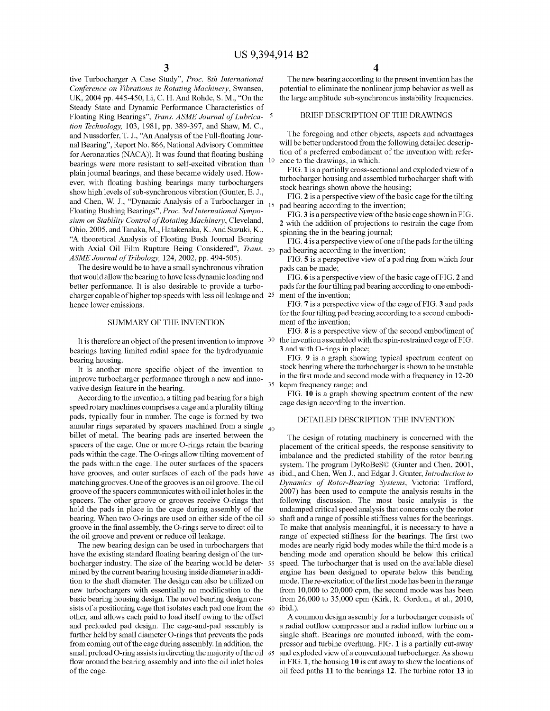tive Turbocharger A Case Study", Proc. 8th International Conference on Vibrations in Rotating Machinery, Swansea, UK,2004 pp. 445-450, Li, C. H. And Rohde, S. M., "On the Steady State and Dynamic Performance Characteristics of Floating Ring Bearings", Trans. ASME Journal of Lubrica- 5 tion Technology, 103, 1981, pp. 389-397, and Shaw, M. C., and Nussdorfer, T. J., "An Analysis of the Full-floating Journal Bearing", Report No. 866, National Advisory Committee for Aeronautics (NACA)). It was found that floating bushing bearings were more resistant to self-excited vibration than plain journal bearings, and these became widely used. However, with floating bushing bearings many turbochargers show high levels of sub-synchronous vibration (Gunter, E. J., and Chen, W. J., "Dynamic Analysis of a Turbocharger in Floating Bushing Bearings", Proc. 3rd International Symposium on Stability Control of Rotating Machinery, Cleveland, Ohio, 2005, and Tanaka, M., Hatakenaka, K. And Suzuki, K., "A theoretical Analysis of Floating Bush Journal Bearing with Axial Oil Film Rupture Being Considered", Trans. 20 ASME Journal of Tribology, 124, 2002, pp. 494-505).

The desire would be to have a small synchronous vibration that would allow the bearing to have less dynamic loading and better performance. It is also desirable to provide a turbocharger capable of higher top speeds with less oil leakage and <sup>25</sup> hence lower emissions.

## SUMMARYOF THE INVENTION

It is therefore an object of the present invention to improve  $30$ bearings having limited radial space for the hydrodynamic bearing housing.

It is another more specific object of the invention to improve turbocharger performance through a new and innovative design feature in the bearing.

According to the invention, a tilting pad bearing for a high pads, typically four in number. The cage is formed by two billet of metal. The bearing pads are inserted between the spacers of the cage. One of more O-rings retain the bearing<br>pads within the cage. The O-rings allow tilting movement of the pads within the cage. The outer surfaces of the spacers have grooves, and outer surfaces of each of the pads have 45 nave grooves, and outer surfaces of each of the pads have<br>matching grooves. One of the grooves is an oil groove. The oil hold the pads in place in the cage during assembly of the hearing. When two O-rings are used on either side of the oil the oil groove and prevent or reduce oil leakage. annular rings separated by spacers machined from a single  $_{40}$ groove of the spacers communicates with oil inlet holes in the groove in the final assembly, the O-rings serve to direct oil to spacers of the cage. One or more O-rings retain the bearing spacers. The other groove or grooves receive O-rings that speed rotary machines comprises a cage and a plurality tilting

boeharger maastry. The size of the bearing would be deter-<br>mined by the current bearing housing inside diameter in addihave the existing standard floating bearing design of the turtion to the shaft diameter. The design can also be utilized on new turbochargers with essentially no modification to the basic bearing housing design. The novel bearing design conbocharger industry. The size of the bearing would be deterfurther held by small diameter O-rings that prevents the pads other, and allows each paid to load itself owing to the offset and preloaded pad design. The cage-and-pad assembly is from coming out of the cage during assembly. In addition, the sman preioad S-ring assists in directing the majority of the on<br>flow around the bearing assembly and into the oil inlet holes of the cage. sists of a positioning cage that isolates each pad one from the small preload O-ring assists in directing the majority of the oil The new bearing design can be used in turbochargers that Inc new bearing according to the present invention has the potential to eliminate the nonlinear jump behavior as well as the large amplitude sub-synchronous instability frequencies. The new bearing according to the present invention has the

# BRIEF DESCRIPTION OF THE DRAWINGS

will be better understood from the following detailed descripwill be better understood from the following detailed descrip-<br>tion of a preferred embodiment of the invention with reference to the drawings, in which: The foregoing and other objects, aspects and advantages

turbocharger housing and assembled turbocharger shaft with stock bearings shown above the housing; ce to the drawings, in which:<br>FIG. 1 is a partially cross-sectional and exploded view of a

pad bearing according to the invention; eck bearings shown above the housing;<br>FIG. 2 is a perspective view of the basic cage for the tilting

2 with the addition of projections to restrain the cage from spinning the in the bearing iournal: FIG. 3 is a perspective view of the basic cage shown in FIG.

pad bearing according to the invention; inning the in the bearing journal;<br>FIG. 4 is a perspective view of one of the pads for the tilting

pads can be made; d bearing according to the invention;<br>FIG. **5** is a perspective view of a pad ring from which four

pads for the four tilting pad bearing according to one embodipaus for the four thung<br>ment of the invention: ds can be made;<br>FIG. 6 is a perspective view of the basic cage of FIG. 2 and

for the four thung pad<br>ment of the invention: for the four tilting pad bearing according to a second embodi-FIG. 7 is a perspective view of the cage of FIG. 3 and pads ent of the invention;<br>FIG. 8 is a perspective view of the second embodiment of

the invention assembled with the spin-restrained cage of FIG. 3 and with O-rings in place:

kepm frequency range; and in the first mode and second mode with a frequency in 12-20 rict. It is a graph showing typical spectrum coment on<br>stock bearing where the turbocharger is shown to be unstable FIG. 9 is a graph showing typical spectrum content on

cage design according to the invention. FIG. 10 is a graph showing spectrum content of the new

# DETAILED DESCRIPTION THE INVENTION

Dynamics of Rotor-Bearing Systems, Victoria: Trafford, I ne design of rotating machinery is concerned with the<br>placement of the critical speeds, the response sensitivity to undamped critical speed analysis that concerns only the rotor range of expected stiffness for the bearings. The first two range or expected sumess for the searings. The first two<br>modes are nearly rigid body modes while the third mode is a bending mode and operation should be below this critical mode. The re-excitation of the first mode has been in the range imbalance and the predicted stability of the rotor bearing system: The program Byreshese (Gamer and Chen, 2001,<br>ibid., and Chen. Wen J., and Edgar J. Gunter. *Introduction to* 2007) has been used to compute the analysis results in the following discussion. The most basic analysis is the To make that analysis meaningful, it is necessary to have a engine has been designed to operate below this bending from 10,000 to 20,000 cpm, the second mode was has been from 26,000 to 35,000 cpm (Kirk, R. Gordon., et al., 2010, ibid.). system. The program DyRoBeS© (Gunter and Chen, 2001, shaft and a range of possible stiffness values for the bearings. speed. The turbocharger that is used on the available diesel The design of rotating machinery is concerned with the

pressor and turbine overhung. FIG. 1 is a partially cut-away a radial outflow compressor and a radial inflow turbine on a n<br>and exploded view of a conventional turbocharger. As shown in FIG. 1, the housing 10 is cut away to show the locations of oil feed paths 11 to the bearings  $12$ . The turbine rotor 13 in single shaft. Bearings are mounted inboard, with the com-A common design assembly for a a turbocharger consists of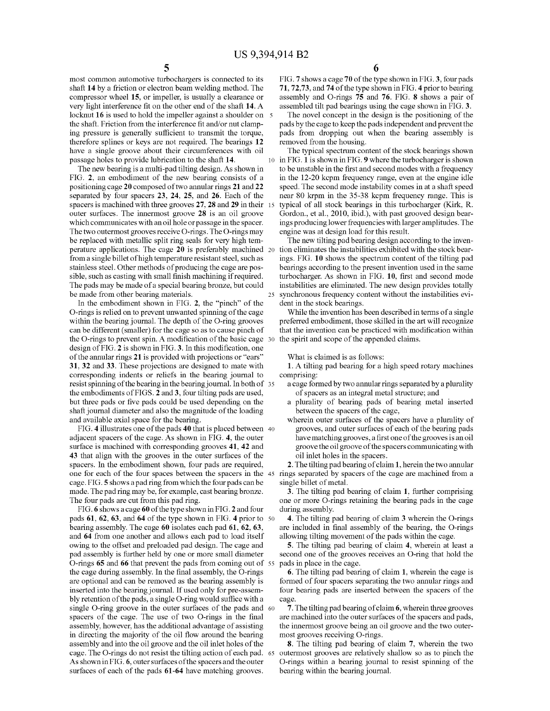most common automotive turbochargers is connected to its shaft 14 by a friction or electron beam welding method. The compressor wheel 15, or impeller, is usually a clearance or very light interference fit on the other end of the shaft 14. A locknut 16 is used to hold the impeller against a shoulder on 5 the shaft. Friction from the interference fit and/or nut clamping pressure is generally sufficient to transmit the torque, therefore splines or keys are not required. The bearings 12 have a single groove about their circumferences with oil passage holes to provide lubrication to the shaft 14.

The new bearing is a multi-pad tilting design. As shown in FIG. 2, an embodiment of the new bearing consists of a positioning cage 20 composed oftwo annular rings 21 and 22 separated by four spacers 23, 24, 25, and 26. Each of the spacers is machined with three grooves 27, 28 and 29 in their 15 outer surfaces. The innermost groove 28 is an oil groove which communicates with an oil hole or passage in the spacer. The two outermost grooves receive O-rings. The O-rings may be replaced with metallic split ring seals for very high temperature applications. The cage 20 is preferably machined from a single billet of high temperature resistant steel, such as stainless steel. Other methods of producing the cage are possible, such as casting with small finish machining if required. The pads may be made of a special bearing bronze, but could be made from other bearing materials.

In the embodiment shown in FIG. 2, the "pinch" of the O-rings is relied on to prevent unwanted spinning of the cage within the bearing journal. The depth of the O-ring grooves can be different (smaller) for the cage so as to cause pinch of the O-rings to prevent spin. A modification of the basic cage design of FIG. 2 is shown in FIG.3. In this modification, one of the annular rings 21 is provided with projections or "ears" 31, 32 and 33. These projections are designed to mate with corresponding indents or reliefs in the bearing journal to resist spinning of the bearing in the bearing journal. In both of 35 the embodiments of FIGS. 2 and 3, four tilting pads are used, but three pads or five pads could be used depending on the shaft journal diameter and also the magnitude of the loading and available axial space for the bearing.

d available axial space tor the bearing.<br>FIG. 4 illustrates one of the pads 40 that is placed between 40 adjacent spacers of the cage. As shown in FIG. 4, the outer surface is machined with corresponding grooves 41, 42 and 43 that align with the grooves in the outer surfaces of the spacers. In the embodiment shown, four pads are required, one for each of the four spaces between the spacers in the 45 rings separated by spacers of the cage are machined from a cage. FIG. 5 shows a pad ring from which the four pads can be single billet of metal. cage. FIG. 5 shows a pad ring from which the four pads can be made. The pad ring may be, for example, cast bearing bronze. The four pads are cut from this pad ring.

I he four pads are cut from this pad ring.<br>FIG. 6 shows a cage 60 of the type shown in FIG. 2 and four<br>pads 61, 62, 63, and 64 of the type shown in FIG. 4 prior to pads  $61, 62, 63$ , and  $64$  of the type shown in FIG. 4 prior to  $50$  bearing assembly. The cage  $60$  isolates each pad  $61, 62, 63$ , and 64 from one another and allows each pad to load itself owing to the offset and preloaded pad design. The cage and pad assembly is further held by one or more small diameter O-rings 65 and 66 that prevent the pads from coming out of 55 the cage during assembly. In the final assembly, the O-rings are optional and can be removed as the bearing assembly is inserted into the bearing journal. If used only for pre-assembly retention of the pads, a single O-ring would suffice with a single O-ring groove in the outer surfaces of the pads and 60 spacers of the cage. The use of two O-rings in the final assembly, however, has the additional advantage of assisting in directing the majority of the oil flow around the bearing assembly and into the oil groove and the oil inlet holes of the cage. The O-rings do not resist the tilting action of each pad. 65 As shown in FIG. 6, outer surfaces of the spacers and the outer surfaces of each of the pads 61-64 have matching grooves.

FIG. 7 shows a cage 70 of the type shown in FIG. 3, four pads FIG. 7 shows a cage 70 of the type shown in FIG. 3, four pads<br>71, 72,73, and 74 of the type shown in FIG. 4 prior to bearing<br>assembly and O-rings 75 and 76. FIG. 8 shows a pair of assembly and O-rings  $75$  and  $76$ . FIG.  $8$  shows a pair of assembled tilt pad bearings using the cage shown in FIG.  $3$ .

The novel concept in the design is the positioning of the pads by the cage to keep the pads independent and prevent the pads from dropping out when the bearing assembly is removed from the housing.

10 in FIG. <sup>1</sup> is shown in FIG. 9 wherethe turbochargeris shown The typical spectrum content of the stock bearings shown to be unstable in the first and second modes with a frequency in the 12-20 kcpm frequency range, even at the engine idle speed. The second mode instability comes in at a shaft speed near 80 krpm in the 35-38 kepm frequency range. This is typical of all stock bearings in this turbocharger (Kirk, R. Gordon., et al., 2010, ibid.), with past grooved design bearings producing lower frequencies with larger amplitudes. The engine was at design load for this result.

The new tilting pad bearing design according to the invention eliminates the instabilities exhibited with the stock bearings. FIG. 10 shows the spectrum content of the tilting pad bearings according to the present invention used in the same turbocharger. As shown in FIG. 10, first and second mode instabilities are eliminated. The new design provides totally synchronous frequency content without the instabilities evident in the stock bearings.

While the invention has been described in terms of a single preferred embodiment, those skilled in the art will recognize that the invention can be practiced with modification within the spirit and scope of the appended claims.

What is claimed is as follows:

1. A tilting pad bearing for <sup>a</sup> high speed rotary machines comprising:

- mprising:<br>a cage formed by two annular rings separated by a plurality of spacers as an integral metal structure; and
- a plurality of bearing pads of bearing metal inserted **between** the spacers of the cage.
- wherein outer surfaces of the spacers have a plurality of grooves, and outer surfaces of each of the bearing pads<br>have matching grooves, a first one of the grooves is an oil grooves, and outer surfaces of each of the bearing pads expansion of the spacers communicating with oil inlet holes in the spacers.

single billet of metal. 2. The tilting pad bearing of claim 1, herein the two annular

one or more O-rings retaining the bearing pads in the cage during assembly.  $\widetilde{3}$ . The tilting pad bearing of claim 1, further comprising

are included in final assembly of the bearing, the O-rings allowing tilting movement of the pads within the cage. 4. The tilting pad bearing of claim 3 wherein the O-rings

pads in place in the cage. second one of the grooves receives an O-ring that hold the 5. The tilting pad bearing of claim 4, wherein at least a

formed of four spacers separating the two annular rings and four bearing pads are inserted between the spacers of the cage. 6. The tilting pad bearing of claim 1, wherein the cage is

the innermost groove being an oil groove and the two outermost grooves receiving O-rings. are machined into the outer surfaces of the spacers and pads.  $\overline{7}$ . The tilting pad bearing of claim 6, wherein three grooves

bearing within the bearing journal. outermost grooves are relatively shallow so as to pinch the O-rings within a bearing journal to resist spinning of the 8. The tilting pad bearing of claim 7, wherein the two